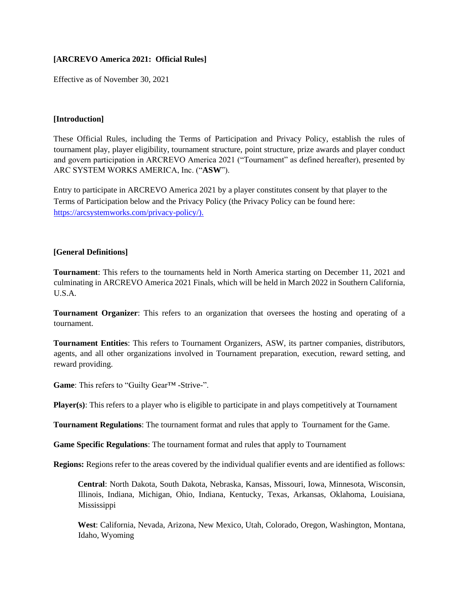## **[ARCREVO America 2021: Official Rules]**

Effective as of November 30, 2021

## **[Introduction]**

These Official Rules, including the Terms of Participation and Privacy Policy, establish the rules of tournament play, player eligibility, tournament structure, point structure, prize awards and player conduct and govern participation in ARCREVO America 2021 ("Tournament" as defined hereafter), presented by ARC SYSTEM WORKS AMERICA, Inc. ("**ASW**").

Entry to participate in ARCREVO America 2021 by a player constitutes consent by that player to the Terms of Participation below and the Privacy Policy (the Privacy Policy can be found here[:](https://arcsystemworks.com/privacy-policy/) [https://arcsystemworks.com/privacy-policy/\).](https://arcsystemworks.com/privacy-policy/)

## **[General Definitions]**

**Tournament**: This refers to the tournaments held in North America starting on December 11, 2021 and culminating in ARCREVO America 2021 Finals, which will be held in March 2022 in Southern California, U.S.A.

**Tournament Organizer**: This refers to an organization that oversees the hosting and operating of a tournament.

**Tournament Entities**: This refers to Tournament Organizers, ASW, its partner companies, distributors, agents, and all other organizations involved in Tournament preparation, execution, reward setting, and reward providing.

**Game**: This refers to "Guilty Gear™ -Strive-".

**Player(s)**: This refers to a player who is eligible to participate in and plays competitively at Tournament

**Tournament Regulations**: The tournament format and rules that apply to Tournament for the Game.

**Game Specific Regulations**: The tournament format and rules that apply to Tournament

**Regions:** Regions refer to the areas covered by the individual qualifier events and are identified as follows:

**Central**: North Dakota, South Dakota, Nebraska, Kansas, Missouri, Iowa, Minnesota, Wisconsin, Illinois, Indiana, Michigan, Ohio, Indiana, Kentucky, Texas, Arkansas, Oklahoma, Louisiana, Mississippi

**West**: California, Nevada, Arizona, New Mexico, Utah, Colorado, Oregon, Washington, Montana, Idaho, Wyoming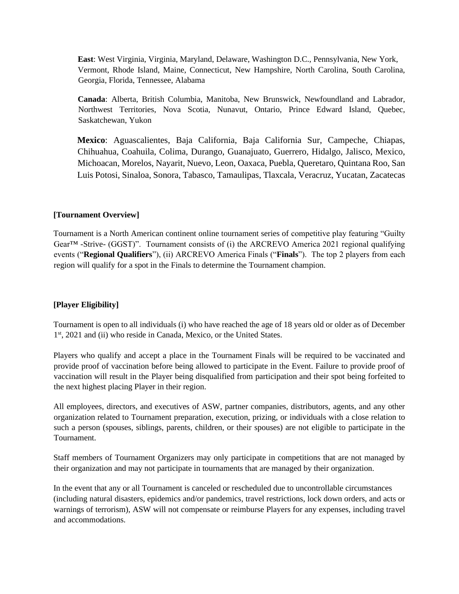**East**: West Virginia, Virginia, Maryland, Delaware, Washington D.C., Pennsylvania, New York, Vermont, Rhode Island, Maine, Connecticut, New Hampshire, North Carolina, South Carolina, Georgia, Florida, Tennessee, Alabama

**Canada**: Alberta, British Columbia, Manitoba, New Brunswick, Newfoundland and Labrador, Northwest Territories, Nova Scotia, Nunavut, Ontario, Prince Edward Island, Quebec, Saskatchewan, Yukon

**Mexico**: Aguascalientes, Baja California, Baja California Sur, Campeche, Chiapas, Chihuahua, Coahuila, Colima, Durango, Guanajuato, Guerrero, Hidalgo, Jalisco, Mexico, Michoacan, Morelos, Nayarit, Nuevo, Leon, Oaxaca, Puebla, Queretaro, Quintana Roo, San Luis Potosi, Sinaloa, Sonora, Tabasco, Tamaulipas, Tlaxcala, Veracruz, Yucatan, Zacatecas

### **[Tournament Overview]**

Tournament is a North American continent online tournament series of competitive play featuring "Guilty Gear™ -Strive- (GGST)". Tournament consists of (i) the ARCREVO America 2021 regional qualifying events ("**Regional Qualifiers**"), (ii) ARCREVO America Finals ("**Finals**"). The top 2 players from each region will qualify for a spot in the Finals to determine the Tournament champion.

### **[Player Eligibility]**

Tournament is open to all individuals (i) who have reached the age of 18 years old or older as of December 1<sup>st</sup>, 2021 and (ii) who reside in Canada, Mexico, or the United States.

Players who qualify and accept a place in the Tournament Finals will be required to be vaccinated and provide proof of vaccination before being allowed to participate in the Event. Failure to provide proof of vaccination will result in the Player being disqualified from participation and their spot being forfeited to the next highest placing Player in their region.

All employees, directors, and executives of ASW, partner companies, distributors, agents, and any other organization related to Tournament preparation, execution, prizing, or individuals with a close relation to such a person (spouses, siblings, parents, children, or their spouses) are not eligible to participate in the Tournament.

Staff members of Tournament Organizers may only participate in competitions that are not managed by their organization and may not participate in tournaments that are managed by their organization.

In the event that any or all Tournament is canceled or rescheduled due to uncontrollable circumstances (including natural disasters, epidemics and/or pandemics, travel restrictions, lock down orders, and acts or warnings of terrorism), ASW will not compensate or reimburse Players for any expenses, including travel and accommodations.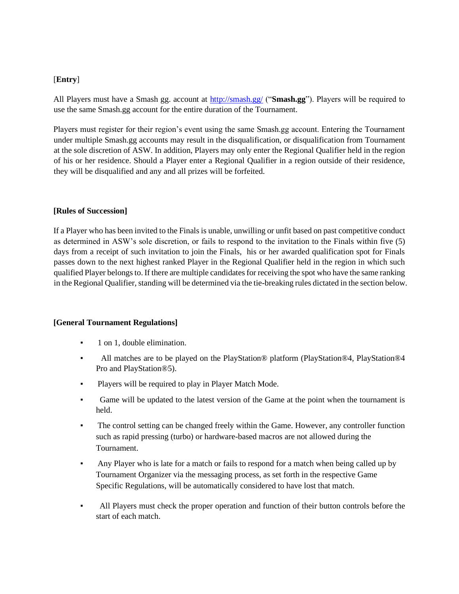## [**Entry**]

All Players must have a Smash gg. account a[t](http://smash.gg/) <http://smash.gg/> ("**Smash.gg**"). Players will be required to use the same Smash.gg account for the entire duration of the Tournament.

Players must register for their region's event using the same Smash.gg account. Entering the Tournament under multiple Smash.gg accounts may result in the disqualification, or disqualification from Tournament at the sole discretion of ASW. In addition, Players may only enter the Regional Qualifier held in the region of his or her residence. Should a Player enter a Regional Qualifier in a region outside of their residence, they will be disqualified and any and all prizes will be forfeited.

### **[Rules of Succession]**

If a Player who has been invited to the Finals is unable, unwilling or unfit based on past competitive conduct as determined in ASW's sole discretion, or fails to respond to the invitation to the Finals within five (5) days from a receipt of such invitation to join the Finals, his or her awarded qualification spot for Finals passes down to the next highest ranked Player in the Regional Qualifier held in the region in which such qualified Player belongs to. If there are multiple candidates for receiving the spot who have the same ranking in the Regional Qualifier, standing will be determined via the tie-breaking rules dictated in the section below.

### **[General Tournament Regulations]**

- 1 on 1, double elimination.
- All matches are to be played on the PlayStation® platform (PlayStation®4, PlayStation®4 Pro and PlayStation®5).
- Players will be required to play in Player Match Mode.
- Game will be updated to the latest version of the Game at the point when the tournament is held.
- The control setting can be changed freely within the Game. However, any controller function such as rapid pressing (turbo) or hardware-based macros are not allowed during the Tournament.
- Any Player who is late for a match or fails to respond for a match when being called up by Tournament Organizer via the messaging process, as set forth in the respective Game Specific Regulations, will be automatically considered to have lost that match.
- All Players must check the proper operation and function of their button controls before the start of each match.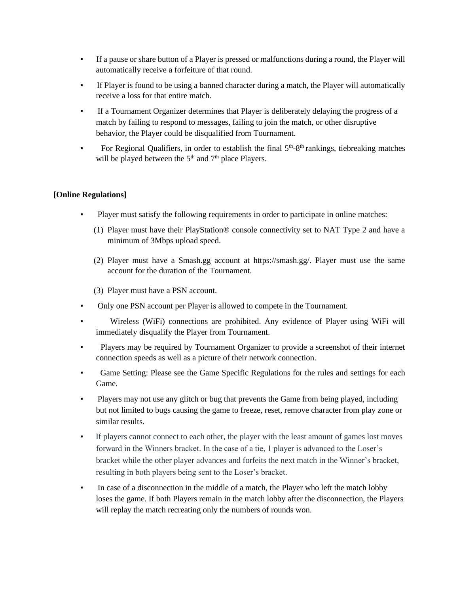- If a pause or share button of a Player is pressed or malfunctions during a round, the Player will automatically receive a forfeiture of that round.
- If Player is found to be using a banned character during a match, the Player will automatically receive a loss for that entire match.
- If a Tournament Organizer determines that Player is deliberately delaying the progress of a match by failing to respond to messages, failing to join the match, or other disruptive behavior, the Player could be disqualified from Tournament.
- **•** For Regional Qualifiers, in order to establish the final  $5<sup>th</sup>$ -8<sup>th</sup> rankings, tiebreaking matches will be played between the  $5<sup>th</sup>$  and  $7<sup>th</sup>$  place Players.

## **[Online Regulations]**

- Player must satisfy the following requirements in order to participate in online matches:
	- (1) Player must have their PlayStation® console connectivity set to NAT Type 2 and have a minimum of 3Mbps upload speed.
	- (2) Player must have a Smash.gg account at https://smash.gg/. Player must use the same account for the duration of the Tournament.
	- (3) Player must have a PSN account.
- Only one PSN account per Player is allowed to compete in the Tournament.
- Wireless (WiFi) connections are prohibited. Any evidence of Player using WiFi will immediately disqualify the Player from Tournament.
- Players may be required by Tournament Organizer to provide a screenshot of their internet connection speeds as well as a picture of their network connection.
- Game Setting: Please see the Game Specific Regulations for the rules and settings for each Game.
- Players may not use any glitch or bug that prevents the Game from being played, including but not limited to bugs causing the game to freeze, reset, remove character from play zone or similar results.
- If players cannot connect to each other, the player with the least amount of games lost moves forward in the Winners bracket. In the case of a tie, 1 player is advanced to the Loser's bracket while the other player advances and forfeits the next match in the Winner's bracket, resulting in both players being sent to the Loser's bracket.
- In case of a disconnection in the middle of a match, the Player who left the match lobby loses the game. If both Players remain in the match lobby after the disconnection, the Players will replay the match recreating only the numbers of rounds won.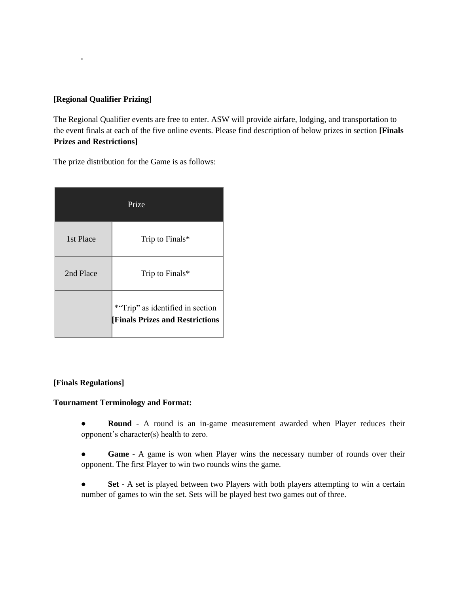# **[Regional Qualifier Prizing]**

▪

The Regional Qualifier events are free to enter. ASW will provide airfare, lodging, and transportation to the event finals at each of the five online events. Please find description of below prizes in section **[Finals Prizes and Restrictions]** 

The prize distribution for the Game is as follows:

| Prize     |                                                                           |  |
|-----------|---------------------------------------------------------------------------|--|
| 1st Place | Trip to Finals*                                                           |  |
| 2nd Place | Trip to Finals*                                                           |  |
|           | *"Trip" as identified in section<br><b>Finals Prizes and Restrictions</b> |  |

## **[Finals Regulations]**

### **Tournament Terminology and Format:**

● **Round** - A round is an in-game measurement awarded when Player reduces their opponent's character(s) health to zero.

● **Game** - A game is won when Player wins the necessary number of rounds over their opponent. The first Player to win two rounds wins the game.

● **Set** - A set is played between two Players with both players attempting to win a certain number of games to win the set. Sets will be played best two games out of three.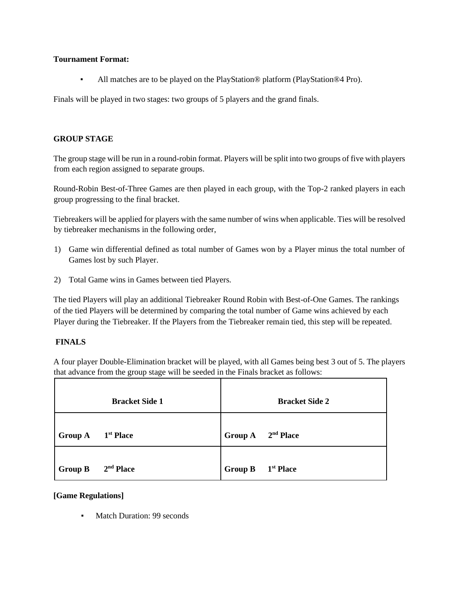### **Tournament Format:**

All matches are to be played on the PlayStation® platform (PlayStation®4 Pro).

Finals will be played in two stages: two groups of 5 players and the grand finals.

### **GROUP STAGE**

The group stage will be run in a round-robin format. Players will be split into two groups of five with players from each region assigned to separate groups.

Round-Robin Best-of-Three Games are then played in each group, with the Top-2 ranked players in each group progressing to the final bracket.

Tiebreakers will be applied for players with the same number of wins when applicable. Ties will be resolved by tiebreaker mechanisms in the following order,

- 1) Game win differential defined as total number of Games won by a Player minus the total number of Games lost by such Player.
- 2) Total Game wins in Games between tied Players.

The tied Players will play an additional Tiebreaker Round Robin with Best-of-One Games. The rankings of the tied Players will be determined by comparing the total number of Game wins achieved by each Player during the Tiebreaker. If the Players from the Tiebreaker remain tied, this step will be repeated.

## **FINALS**

A four player Double-Elimination bracket will be played, with all Games being best 3 out of 5. The players that advance from the group stage will be seeded in the Finals bracket as follows:

|                | <b>Bracket Side 1</b> |                               | <b>Bracket Side 2</b> |
|----------------|-----------------------|-------------------------------|-----------------------|
| <b>Group A</b> | 1 <sup>st</sup> Place | Group A 2 <sup>nd</sup> Place |                       |
| <b>Group B</b> | $2nd$ Place           | <b>Group B</b>                | 1 <sup>st</sup> Place |

### **[Game Regulations]**

▪ Match Duration: 99 seconds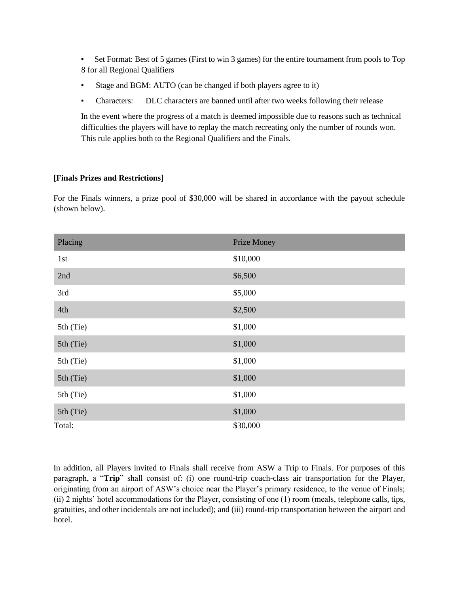▪ Set Format: Best of 5 games (First to win 3 games) for the entire tournament from pools to Top 8 for all Regional Qualifiers

- Stage and BGM: AUTO (can be changed if both players agree to it)
- Characters: DLC characters are banned until after two weeks following their release

In the event where the progress of a match is deemed impossible due to reasons such as technical difficulties the players will have to replay the match recreating only the number of rounds won. This rule applies both to the Regional Qualifiers and the Finals.

## **[Finals Prizes and Restrictions]**

For the Finals winners, a prize pool of \$30,000 will be shared in accordance with the payout schedule (shown below).

| Placing   | Prize Money |
|-----------|-------------|
| 1st       | \$10,000    |
| 2nd       | \$6,500     |
| 3rd       | \$5,000     |
| 4th       | \$2,500     |
| 5th (Tie) | \$1,000     |
| 5th (Tie) | \$1,000     |
| 5th (Tie) | \$1,000     |
| 5th (Tie) | \$1,000     |
| 5th (Tie) | \$1,000     |
| 5th (Tie) | \$1,000     |
| Total:    | \$30,000    |

In addition, all Players invited to Finals shall receive from ASW a Trip to Finals. For purposes of this paragraph, a "**Trip**" shall consist of: (i) one round-trip coach-class air transportation for the Player, originating from an airport of ASW's choice near the Player's primary residence, to the venue of Finals; (ii) 2 nights' hotel accommodations for the Player, consisting of one (1) room (meals, telephone calls, tips, gratuities, and other incidentals are not included); and (iii) round-trip transportation between the airport and hotel.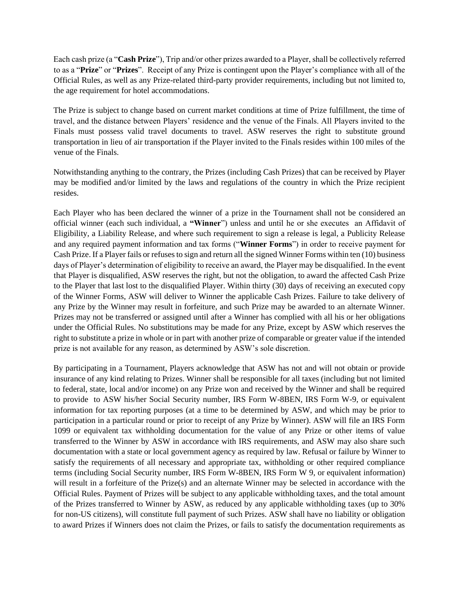Each cash prize (a "**Cash Prize**"), Trip and/or other prizes awarded to a Player, shall be collectively referred to as a "**Prize**" or "**Prizes**". Receipt of any Prize is contingent upon the Player's compliance with all of the Official Rules, as well as any Prize-related third-party provider requirements, including but not limited to, the age requirement for hotel accommodations.

The Prize is subject to change based on current market conditions at time of Prize fulfillment, the time of travel, and the distance between Players' residence and the venue of the Finals. All Players invited to the Finals must possess valid travel documents to travel. ASW reserves the right to substitute ground transportation in lieu of air transportation if the Player invited to the Finals resides within 100 miles of the venue of the Finals.

Notwithstanding anything to the contrary, the Prizes (including Cash Prizes) that can be received by Player may be modified and/or limited by the laws and regulations of the country in which the Prize recipient resides.

Each Player who has been declared the winner of a prize in the Tournament shall not be considered an official winner (each such individual, a **"Winner**") unless and until he or she executes an Affidavit of Eligibility, a Liability Release, and where such requirement to sign a release is legal, a Publicity Release and any required payment information and tax forms ("**Winner Forms**") in order to receive payment for Cash Prize. If a Player fails or refuses to sign and return all the signed Winner Forms within ten (10) business days of Player's determination of eligibility to receive an award, the Player may be disqualified. In the event that Player is disqualified, ASW reserves the right, but not the obligation, to award the affected Cash Prize to the Player that last lost to the disqualified Player. Within thirty (30) days of receiving an executed copy of the Winner Forms, ASW will deliver to Winner the applicable Cash Prizes. Failure to take delivery of any Prize by the Winner may result in forfeiture, and such Prize may be awarded to an alternate Winner. Prizes may not be transferred or assigned until after a Winner has complied with all his or her obligations under the Official Rules. No substitutions may be made for any Prize, except by ASW which reserves the right to substitute a prize in whole or in part with another prize of comparable or greater value if the intended prize is not available for any reason, as determined by ASW's sole discretion.

By participating in a Tournament, Players acknowledge that ASW has not and will not obtain or provide insurance of any kind relating to Prizes. Winner shall be responsible for all taxes (including but not limited to federal, state, local and/or income) on any Prize won and received by the Winner and shall be required to provide to ASW his/her Social Security number, IRS Form W-8BEN, IRS Form W-9, or equivalent information for tax reporting purposes (at a time to be determined by ASW, and which may be prior to participation in a particular round or prior to receipt of any Prize by Winner). ASW will file an IRS Form 1099 or equivalent tax withholding documentation for the value of any Prize or other items of value transferred to the Winner by ASW in accordance with IRS requirements, and ASW may also share such documentation with a state or local government agency as required by law. Refusal or failure by Winner to satisfy the requirements of all necessary and appropriate tax, withholding or other required compliance terms (including Social Security number, IRS Form W-8BEN, IRS Form W 9, or equivalent information) will result in a forfeiture of the Prize(s) and an alternate Winner may be selected in accordance with the Official Rules. Payment of Prizes will be subject to any applicable withholding taxes, and the total amount of the Prizes transferred to Winner by ASW, as reduced by any applicable withholding taxes (up to 30% for non-US citizens), will constitute full payment of such Prizes. ASW shall have no liability or obligation to award Prizes if Winners does not claim the Prizes, or fails to satisfy the documentation requirements as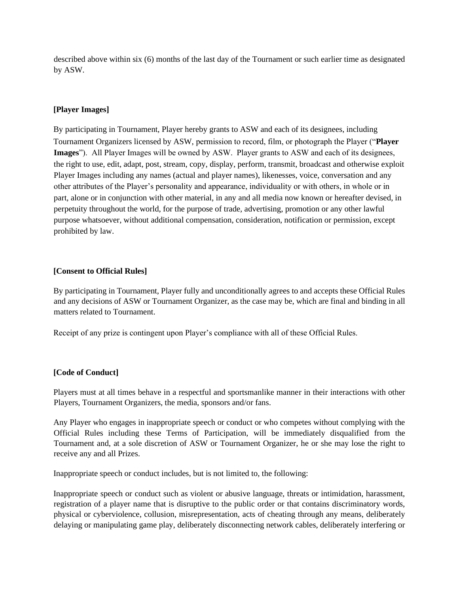described above within six (6) months of the last day of the Tournament or such earlier time as designated by ASW.

## **[Player Images]**

By participating in Tournament, Player hereby grants to ASW and each of its designees, including Tournament Organizers licensed by ASW, permission to record, film, or photograph the Player ("**Player Images**"). All Player Images will be owned by ASW. Player grants to ASW and each of its designees, the right to use, edit, adapt, post, stream, copy, display, perform, transmit, broadcast and otherwise exploit Player Images including any names (actual and player names), likenesses, voice, conversation and any other attributes of the Player's personality and appearance, individuality or with others, in whole or in part, alone or in conjunction with other material, in any and all media now known or hereafter devised, in perpetuity throughout the world, for the purpose of trade, advertising, promotion or any other lawful purpose whatsoever, without additional compensation, consideration, notification or permission, except prohibited by law.

### **[Consent to Official Rules]**

By participating in Tournament, Player fully and unconditionally agrees to and accepts these Official Rules and any decisions of ASW or Tournament Organizer, as the case may be, which are final and binding in all matters related to Tournament.

Receipt of any prize is contingent upon Player's compliance with all of these Official Rules.

### **[Code of Conduct]**

Players must at all times behave in a respectful and sportsmanlike manner in their interactions with other Players, Tournament Organizers, the media, sponsors and/or fans.

Any Player who engages in inappropriate speech or conduct or who competes without complying with the Official Rules including these Terms of Participation, will be immediately disqualified from the Tournament and, at a sole discretion of ASW or Tournament Organizer, he or she may lose the right to receive any and all Prizes.

Inappropriate speech or conduct includes, but is not limited to, the following:

Inappropriate speech or conduct such as violent or abusive language, threats or intimidation, harassment, registration of a player name that is disruptive to the public order or that contains discriminatory words, physical or cyberviolence, collusion, misrepresentation, acts of cheating through any means, deliberately delaying or manipulating game play, deliberately disconnecting network cables, deliberately interfering or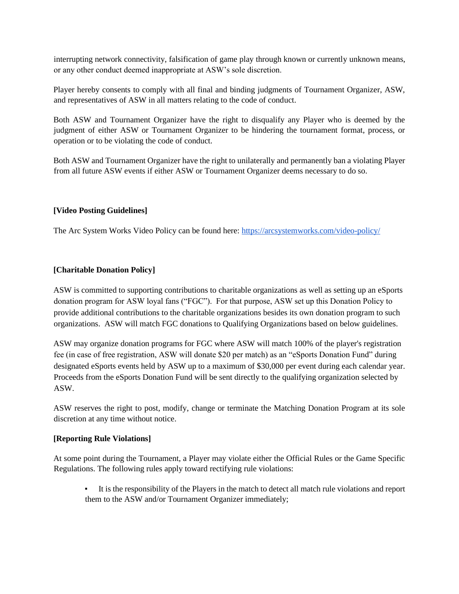interrupting network connectivity, falsification of game play through known or currently unknown means, or any other conduct deemed inappropriate at ASW's sole discretion.

Player hereby consents to comply with all final and binding judgments of Tournament Organizer, ASW, and representatives of ASW in all matters relating to the code of conduct.

Both ASW and Tournament Organizer have the right to disqualify any Player who is deemed by the judgment of either ASW or Tournament Organizer to be hindering the tournament format, process, or operation or to be violating the code of conduct.

Both ASW and Tournament Organizer have the right to unilaterally and permanently ban a violating Player from all future ASW events if either ASW or Tournament Organizer deems necessary to do so.

## **[Video Posting Guidelines]**

The Arc System Works Video Policy can be found here[:](https://arcsystemworks.com/privacy-policy/) [https://arcsystemworks.com/video-policy/](https://arcsystemworks.com/privacy-policy/)

## **[Charitable Donation Policy]**

ASW is committed to supporting contributions to charitable organizations as well as setting up an eSports donation program for ASW loyal fans ("FGC"). For that purpose, ASW set up this Donation Policy to provide additional contributions to the charitable organizations besides its own donation program to such organizations. ASW will match FGC donations to Qualifying Organizations based on below guidelines.

ASW may organize donation programs for FGC where ASW will match 100% of the player's registration fee (in case of free registration, ASW will donate \$20 per match) as an "eSports Donation Fund" during designated eSports events held by ASW up to a maximum of \$30,000 per event during each calendar year. Proceeds from the eSports Donation Fund will be sent directly to the qualifying organization selected by ASW.

ASW reserves the right to post, modify, change or terminate the Matching Donation Program at its sole discretion at any time without notice.

### **[Reporting Rule Violations]**

At some point during the Tournament, a Player may violate either the Official Rules or the Game Specific Regulations. The following rules apply toward rectifying rule violations:

It is the responsibility of the Players in the match to detect all match rule violations and report them to the ASW and/or Tournament Organizer immediately;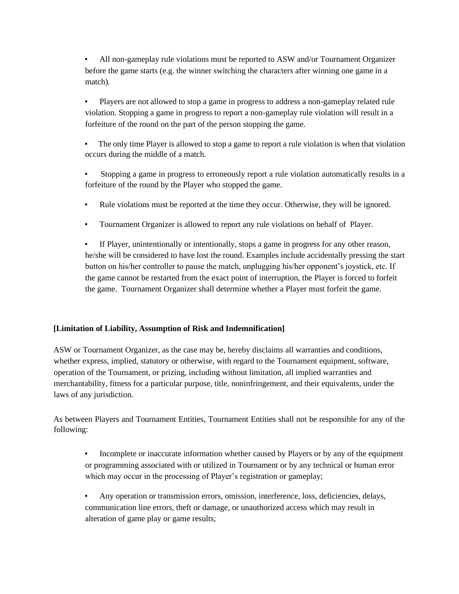All non-gameplay rule violations must be reported to ASW and/or Tournament Organizer before the game starts (e.g. the winner switching the characters after winning one game in a match).

Players are not allowed to stop a game in progress to address a non-gameplay related rule violation. Stopping a game in progress to report a non-gameplay rule violation will result in a forfeiture of the round on the part of the person stopping the game.

The only time Player is allowed to stop a game to report a rule violation is when that violation occurs during the middle of a match.

Stopping a game in progress to erroneously report a rule violation automatically results in a forfeiture of the round by the Player who stopped the game.

- Rule violations must be reported at the time they occur. Otherwise, they will be ignored.
- Tournament Organizer is allowed to report any rule violations on behalf of Player.

▪ If Player, unintentionally or intentionally, stops a game in progress for any other reason, he/she will be considered to have lost the round. Examples include accidentally pressing the start button on his/her controller to pause the match, unplugging his/her opponent's joystick, etc. If the game cannot be restarted from the exact point of interruption, the Player is forced to forfeit the game. Tournament Organizer shall determine whether a Player must forfeit the game.

## **[Limitation of Liability, Assumption of Risk and Indemnification]**

ASW or Tournament Organizer, as the case may be, hereby disclaims all warranties and conditions, whether express, implied, statutory or otherwise, with regard to the Tournament equipment, software, operation of the Tournament, or prizing, including without limitation, all implied warranties and merchantability, fitness for a particular purpose, title, noninfringement, and their equivalents, under the laws of any jurisdiction.

As between Players and Tournament Entities, Tournament Entities shall not be responsible for any of the following:

Incomplete or inaccurate information whether caused by Players or by any of the equipment or programming associated with or utilized in Tournament or by any technical or human error which may occur in the processing of Player's registration or gameplay;

▪ Any operation or transmission errors, omission, interference, loss, deficiencies, delays, communication line errors, theft or damage, or unauthorized access which may result in alteration of game play or game results;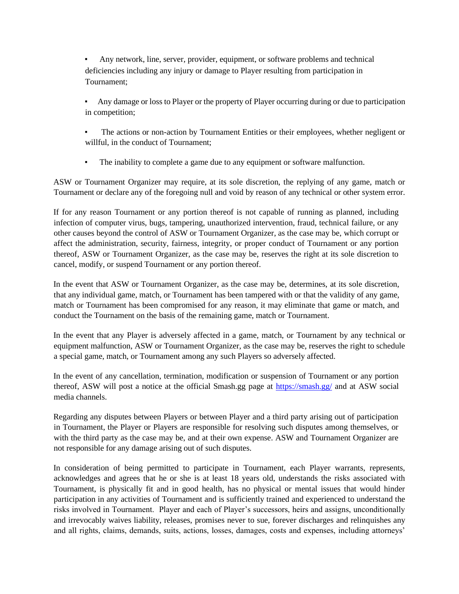Any network, line, server, provider, equipment, or software problems and technical deficiencies including any injury or damage to Player resulting from participation in Tournament;

Any damage or loss to Player or the property of Player occurring during or due to participation in competition;

- The actions or non-action by Tournament Entities or their employees, whether negligent or willful, in the conduct of Tournament;
- The inability to complete a game due to any equipment or software malfunction.

ASW or Tournament Organizer may require, at its sole discretion, the replying of any game, match or Tournament or declare any of the foregoing null and void by reason of any technical or other system error.

If for any reason Tournament or any portion thereof is not capable of running as planned, including infection of computer virus, bugs, tampering, unauthorized intervention, fraud, technical failure, or any other causes beyond the control of ASW or Tournament Organizer, as the case may be, which corrupt or affect the administration, security, fairness, integrity, or proper conduct of Tournament or any portion thereof, ASW or Tournament Organizer, as the case may be, reserves the right at its sole discretion to cancel, modify, or suspend Tournament or any portion thereof.

In the event that ASW or Tournament Organizer, as the case may be, determines, at its sole discretion, that any individual game, match, or Tournament has been tampered with or that the validity of any game, match or Tournament has been compromised for any reason, it may eliminate that game or match, and conduct the Tournament on the basis of the remaining game, match or Tournament.

In the event that any Player is adversely affected in a game, match, or Tournament by any technical or equipment malfunction, ASW or Tournament Organizer, as the case may be, reserves the right to schedule a special game, match, or Tournament among any such Players so adversely affected.

In the event of any cancellation, termination, modification or suspension of Tournament or any portion thereof, ASW will post a notice at the official Smash.gg page a[t](https://smash.gg/) <https://smash.gg/> [a](https://smash.gg/)nd at ASW social media channels.

Regarding any disputes between Players or between Player and a third party arising out of participation in Tournament, the Player or Players are responsible for resolving such disputes among themselves, or with the third party as the case may be, and at their own expense. ASW and Tournament Organizer are not responsible for any damage arising out of such disputes.

In consideration of being permitted to participate in Tournament, each Player warrants, represents, acknowledges and agrees that he or she is at least 18 years old, understands the risks associated with Tournament, is physically fit and in good health, has no physical or mental issues that would hinder participation in any activities of Tournament and is sufficiently trained and experienced to understand the risks involved in Tournament. Player and each of Player's successors, heirs and assigns, unconditionally and irrevocably waives liability, releases, promises never to sue, forever discharges and relinquishes any and all rights, claims, demands, suits, actions, losses, damages, costs and expenses, including attorneys'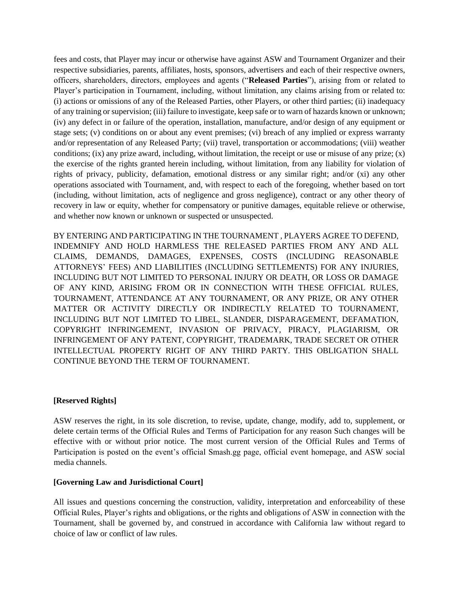fees and costs, that Player may incur or otherwise have against ASW and Tournament Organizer and their respective subsidiaries, parents, affiliates, hosts, sponsors, advertisers and each of their respective owners, officers, shareholders, directors, employees and agents ("**Released Parties**"), arising from or related to Player's participation in Tournament, including, without limitation, any claims arising from or related to: (i) actions or omissions of any of the Released Parties, other Players, or other third parties; (ii) inadequacy of any training or supervision; (iii) failure to investigate, keep safe or to warn of hazards known or unknown; (iv) any defect in or failure of the operation, installation, manufacture, and/or design of any equipment or stage sets; (v) conditions on or about any event premises; (vi) breach of any implied or express warranty and/or representation of any Released Party; (vii) travel, transportation or accommodations; (viii) weather conditions; (ix) any prize award, including, without limitation, the receipt or use or misuse of any prize;  $(x)$ the exercise of the rights granted herein including, without limitation, from any liability for violation of rights of privacy, publicity, defamation, emotional distress or any similar right; and/or (xi) any other operations associated with Tournament, and, with respect to each of the foregoing, whether based on tort (including, without limitation, acts of negligence and gross negligence), contract or any other theory of recovery in law or equity, whether for compensatory or punitive damages, equitable relieve or otherwise, and whether now known or unknown or suspected or unsuspected.

BY ENTERING AND PARTICIPATING IN THE TOURNAMENT , PLAYERS AGREE TO DEFEND, INDEMNIFY AND HOLD HARMLESS THE RELEASED PARTIES FROM ANY AND ALL CLAIMS, DEMANDS, DAMAGES, EXPENSES, COSTS (INCLUDING REASONABLE ATTORNEYS' FEES) AND LIABILITIES (INCLUDING SETTLEMENTS) FOR ANY INJURIES, INCLUDING BUT NOT LIMITED TO PERSONAL INJURY OR DEATH, OR LOSS OR DAMAGE OF ANY KIND, ARISING FROM OR IN CONNECTION WITH THESE OFFICIAL RULES, TOURNAMENT, ATTENDANCE AT ANY TOURNAMENT, OR ANY PRIZE, OR ANY OTHER MATTER OR ACTIVITY DIRECTLY OR INDIRECTLY RELATED TO TOURNAMENT, INCLUDING BUT NOT LIMITED TO LIBEL, SLANDER, DISPARAGEMENT, DEFAMATION, COPYRIGHT INFRINGEMENT, INVASION OF PRIVACY, PIRACY, PLAGIARISM, OR INFRINGEMENT OF ANY PATENT, COPYRIGHT, TRADEMARK, TRADE SECRET OR OTHER INTELLECTUAL PROPERTY RIGHT OF ANY THIRD PARTY. THIS OBLIGATION SHALL CONTINUE BEYOND THE TERM OF TOURNAMENT.

### **[Reserved Rights]**

ASW reserves the right, in its sole discretion, to revise, update, change, modify, add to, supplement, or delete certain terms of the Official Rules and Terms of Participation for any reason Such changes will be effective with or without prior notice. The most current version of the Official Rules and Terms of Participation is posted on the event's official Smash.gg page, official event homepage, and ASW social media channels.

### **[Governing Law and Jurisdictional Court]**

All issues and questions concerning the construction, validity, interpretation and enforceability of these Official Rules, Player's rights and obligations, or the rights and obligations of ASW in connection with the Tournament, shall be governed by, and construed in accordance with California law without regard to choice of law or conflict of law rules.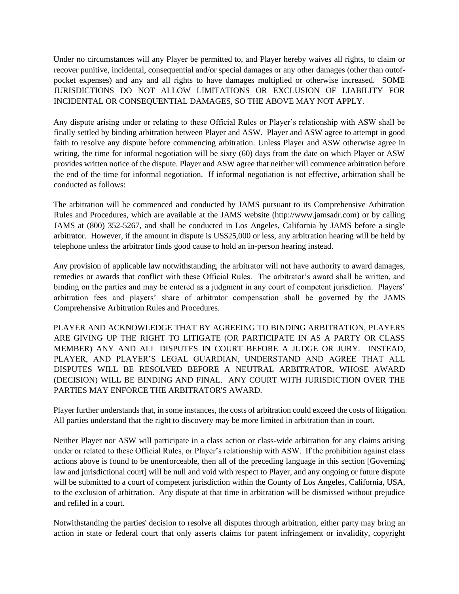Under no circumstances will any Player be permitted to, and Player hereby waives all rights, to claim or recover punitive, incidental, consequential and/or special damages or any other damages (other than outofpocket expenses) and any and all rights to have damages multiplied or otherwise increased. SOME JURISDICTIONS DO NOT ALLOW LIMITATIONS OR EXCLUSION OF LIABILITY FOR INCIDENTAL OR CONSEQUENTIAL DAMAGES, SO THE ABOVE MAY NOT APPLY.

Any dispute arising under or relating to these Official Rules or Player's relationship with ASW shall be finally settled by binding arbitration between Player and ASW. Player and ASW agree to attempt in good faith to resolve any dispute before commencing arbitration. Unless Player and ASW otherwise agree in writing, the time for informal negotiation will be sixty (60) days from the date on which Player or ASW provides written notice of the dispute. Player and ASW agree that neither will commence arbitration before the end of the time for informal negotiation. If informal negotiation is not effective, arbitration shall be conducted as follows:

The arbitration will be commenced and conducted by JAMS pursuant to its Comprehensive Arbitration Rules and Procedures, which are available at the JAMS website (http://www.jamsadr.com) or by calling JAMS at (800) 352-5267, and shall be conducted in Los Angeles, California by JAMS before a single arbitrator. However, if the amount in dispute is US\$25,000 or less, any arbitration hearing will be held by telephone unless the arbitrator finds good cause to hold an in-person hearing instead.

Any provision of applicable law notwithstanding, the arbitrator will not have authority to award damages, remedies or awards that conflict with these Official Rules. The arbitrator's award shall be written, and binding on the parties and may be entered as a judgment in any court of competent jurisdiction. Players' arbitration fees and players' share of arbitrator compensation shall be governed by the JAMS Comprehensive Arbitration Rules and Procedures.

PLAYER AND ACKNOWLEDGE THAT BY AGREEING TO BINDING ARBITRATION, PLAYERS ARE GIVING UP THE RIGHT TO LITIGATE (OR PARTICIPATE IN AS A PARTY OR CLASS MEMBER) ANY AND ALL DISPUTES IN COURT BEFORE A JUDGE OR JURY. INSTEAD, PLAYER, AND PLAYER'S LEGAL GUARDIAN, UNDERSTAND AND AGREE THAT ALL DISPUTES WILL BE RESOLVED BEFORE A NEUTRAL ARBITRATOR, WHOSE AWARD (DECISION) WILL BE BINDING AND FINAL. ANY COURT WITH JURISDICTION OVER THE PARTIES MAY ENFORCE THE ARBITRATOR'S AWARD.

Player further understands that, in some instances, the costs of arbitration could exceed the costs of litigation. All parties understand that the right to discovery may be more limited in arbitration than in court.

Neither Player nor ASW will participate in a class action or class-wide arbitration for any claims arising under or related to these Official Rules, or Player's relationship with ASW. If the prohibition against class actions above is found to be unenforceable, then all of the preceding language in this section [Governing law and jurisdictional court] will be null and void with respect to Player, and any ongoing or future dispute will be submitted to a court of competent jurisdiction within the County of Los Angeles, California, USA, to the exclusion of arbitration. Any dispute at that time in arbitration will be dismissed without prejudice and refiled in a court.

Notwithstanding the parties' decision to resolve all disputes through arbitration, either party may bring an action in state or federal court that only asserts claims for patent infringement or invalidity, copyright